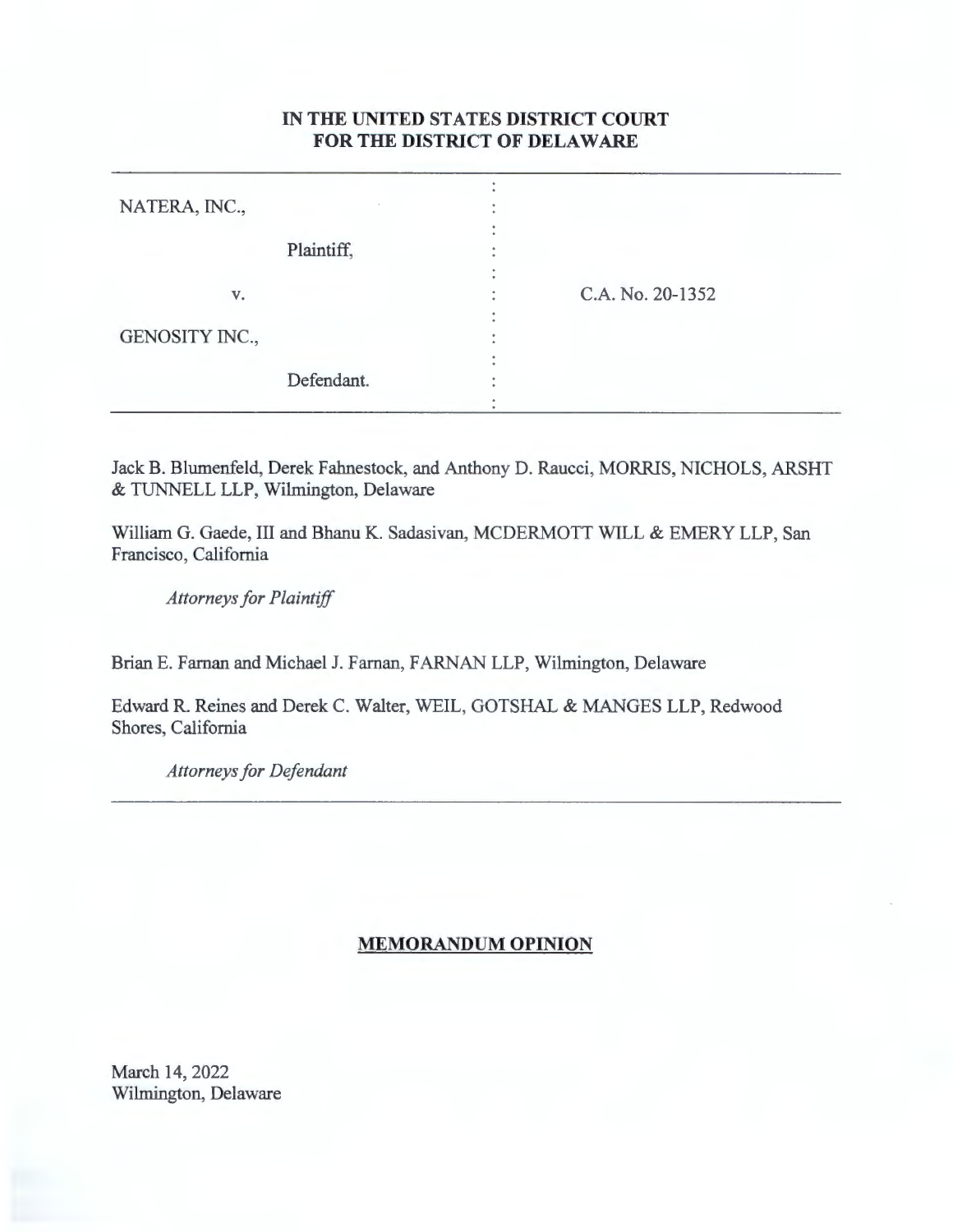## **IN THE UNITED STATES DISTRICT COURT FOR THE DISTRICT OF DELAWARE**

| NATERA, INC.,  |            |                  |
|----------------|------------|------------------|
|                | Plaintiff, |                  |
| V.             |            | C.A. No. 20-1352 |
| GENOSITY INC., |            |                  |
|                | Defendant. |                  |

Jack B. Blumenfeld, Derek Fahnestock, and Anthony D. Raucci, MORRIS, NICHOLS, ARSHT & TUNNELL LLP, Wilmington, Delaware

William G. Gaede, III and Bhanu K. Sadasivan, MCDERMOTT WILL & EMERY LLP, San Francisco, California

*Attorneys for Plaintiff* 

Brian E. Farnan and Michael J. Farnan, FARNAN LLP, Wilmington, Delaware

Edward R. Reines and Derek C. Walter, WEIL, GOTSHAL & MANGES LLP, Redwood Shores, California

*Attorneys for Defendant* 

## **MEMORANDUM OPINION**

March 14, 2022 Wilmington, Delaware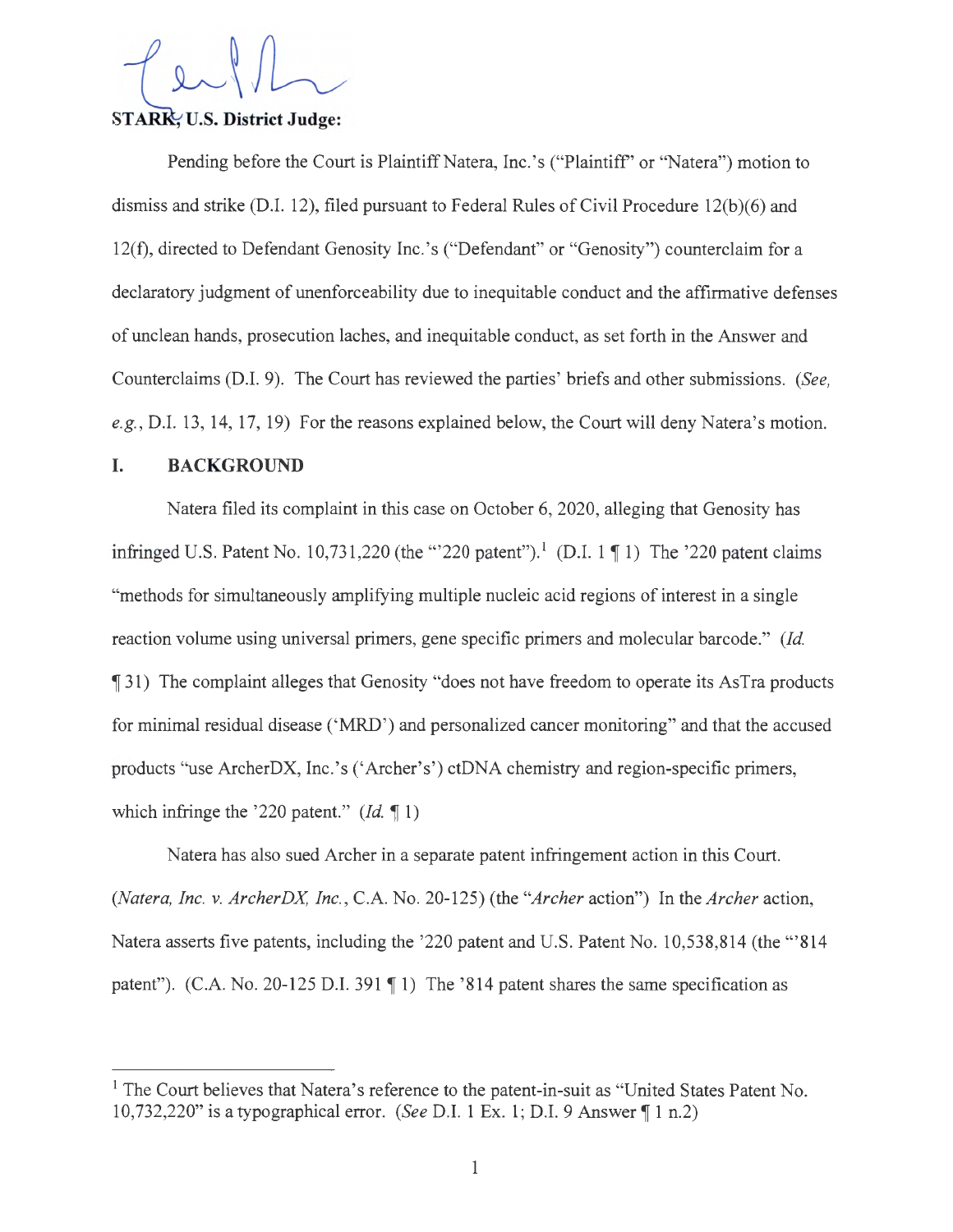# STARK, U.S. District Judge:

Pending before the Court is Plaintiff Natera, Inc.'s ("Plaintiff" or "Natera") motion to dismiss and strike (D.I. 12), filed pursuant to Federal Rules of Civil Procedure 12(b)(6) and 12(f), directed to Defendant Genosity Inc.'s ("Defendant" or "Genosity") counterclaim for a declaratory judgment of unenforceability due to inequitable conduct and the affirmative defenses of unclean hands, prosecution laches, and inequitable conduct, as set forth in the Answer and Counterclaims (D.I. 9). The Court has reviewed the parties' briefs and other submissions. *(See,*  e.g., D.I. 13, 14, 17, 19) For the reasons explained below, the Court will deny Natera's motion.

#### **I. BACKGROUND**

Natera filed its complaint in this case on October 6, 2020, alleging that Genosity has infringed U.S. Patent No. 10,731,220 (the "'220 patent").<sup>1</sup> (D.I. 1 || 1) The '220 patent claims "methods for simultaneously amplifying multiple nucleic acid regions of interest in a single reaction volume using universal primers, gene specific primers and molecular barcode." *(Id.*  **1944** The complaint alleges that Genosity "does not have freedom to operate its AsTra products for minimal residual disease ('MRD') and personalized cancer monitoring" and that the accused products "use ArcherDX, Inc. 's ('Archer's') ctDNA chemistry and region-specific primers, which infringe the '220 patent."  $(Id, \P 1)$ 

Natera has also sued Archer in a separate patent infringement action in this Court. *(Natera, Inc. v. ArcherDX, Inc.,* C.A. No. 20-125) (the *"Archer* action") In the *Archer* action, Natera asserts five patents, including the '220 patent and U.S. Patent No. 10,538,814 (the '" 814 patent"). (C.A. No. 20-125 D.I. 391  $\P$  1) The '814 patent shares the same specification as

<sup>&</sup>lt;sup>1</sup> The Court believes that Natera's reference to the patent-in-suit as "United States Patent No. 10,732,220" is a typographical error. *(See D.I. 1 Ex. 1; D.I. 9 Answer*  $\P 1 n.2$ )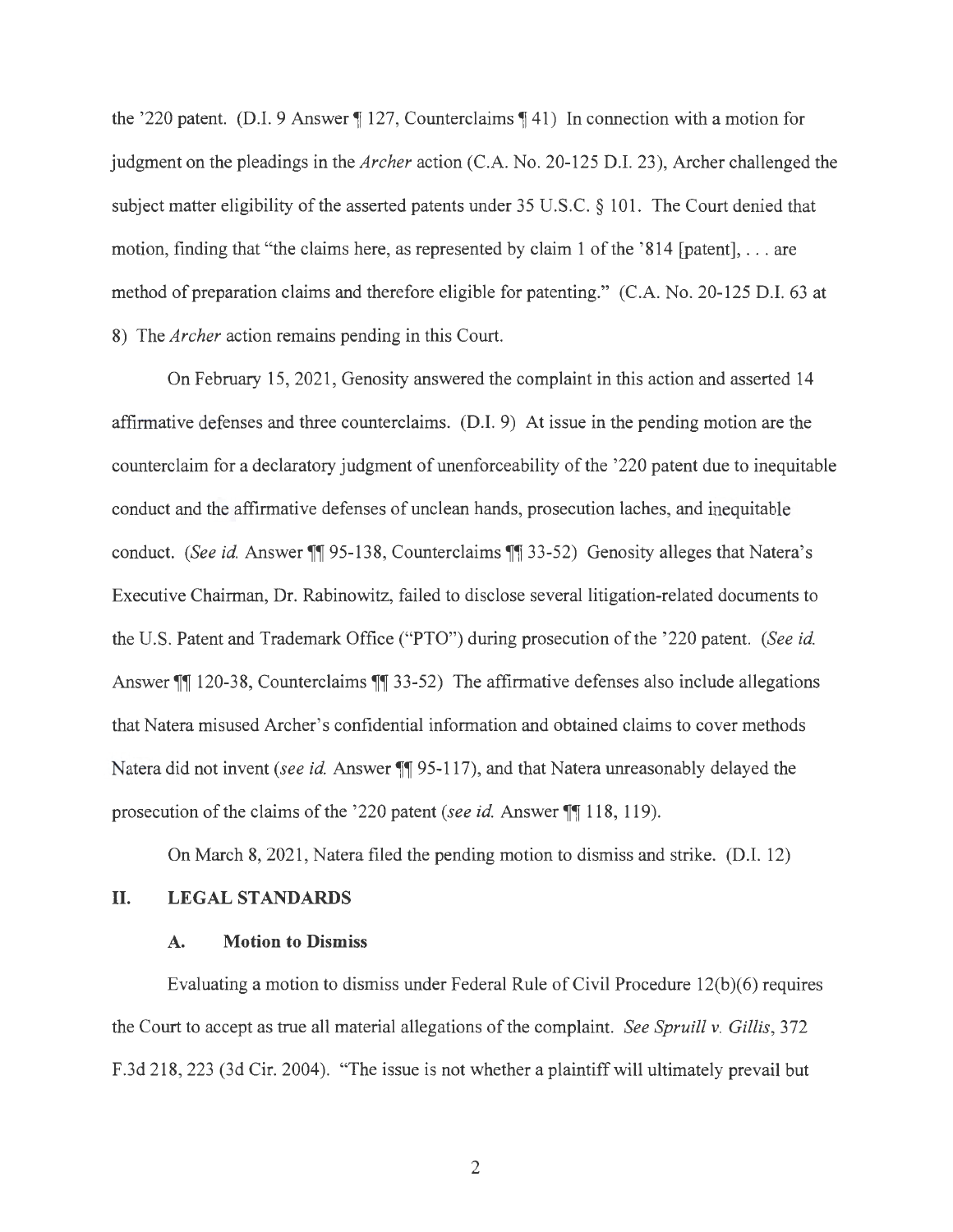the '220 patent. (D.I. 9 Answer 127, Counterclaims 141) In connection with a motion for judgment on the pleadings in the *Archer* action (C.A. No. 20-125 D.I. 23), Archer challenged the subject matter eligibility of the asserted patents under 35 U.S.C. § 101. The Court denied that motion, finding that "the claims here, as represented by claim 1 of the '814 [patent],  $\dots$  are method of preparation claims and therefore eligible for patenting." (C.A. No. 20-125 D.I. 63 at 8) The *Archer* action remains pending in this Court.

On February 15, 2021 , Genosity answered the complaint in this action and asserted 14 affirmative defenses and three counterclaims. (D.I. 9) At issue in the pending motion are the counterclaim for a declaratory judgment of unenforceability of the '220 patent due to inequitable conduct and the affirmative defenses of unclean hands, prosecution laches, and inequitable conduct. *(See id. Answer* **11** 95-138, Counterclaims **11** 33-52) Genosity alleges that Natera's Executive Chairman, Dr. Rabinowitz, failed to disclose several litigation-related documents to the U.S. Patent and Trademark Office ("PTO") during prosecution of the '220 patent. *(See id.*  Answer **|| 120-38, Counterclaims || 33-52)** The affirmative defenses also include allegations that Natera misused Archer's confidential information and obtained claims to cover methods Natera did not invent *(see id.* Answer **11** 95-117), and that Natera unreasonably delayed the prosecution of the claims of the '220 patent *(see id. Answer* **, 118, 119)**.

On March 8, 2021 , Natera filed the pending motion to dismiss and strike. (D.I. 12)

#### II. **LEGAL STANDARDS**

#### **A. Motion to Dismiss**

Evaluating a motion to dismiss under Federal Rule of Civil Procedure 12(b)(6) requires the Court to accept as true all material allegations of the complaint. *See Spruill v. Gillis,* 372 F.3d 218,223 (3d Cir. 2004). "The issue is not whether a plaintiff will ultimately prevail but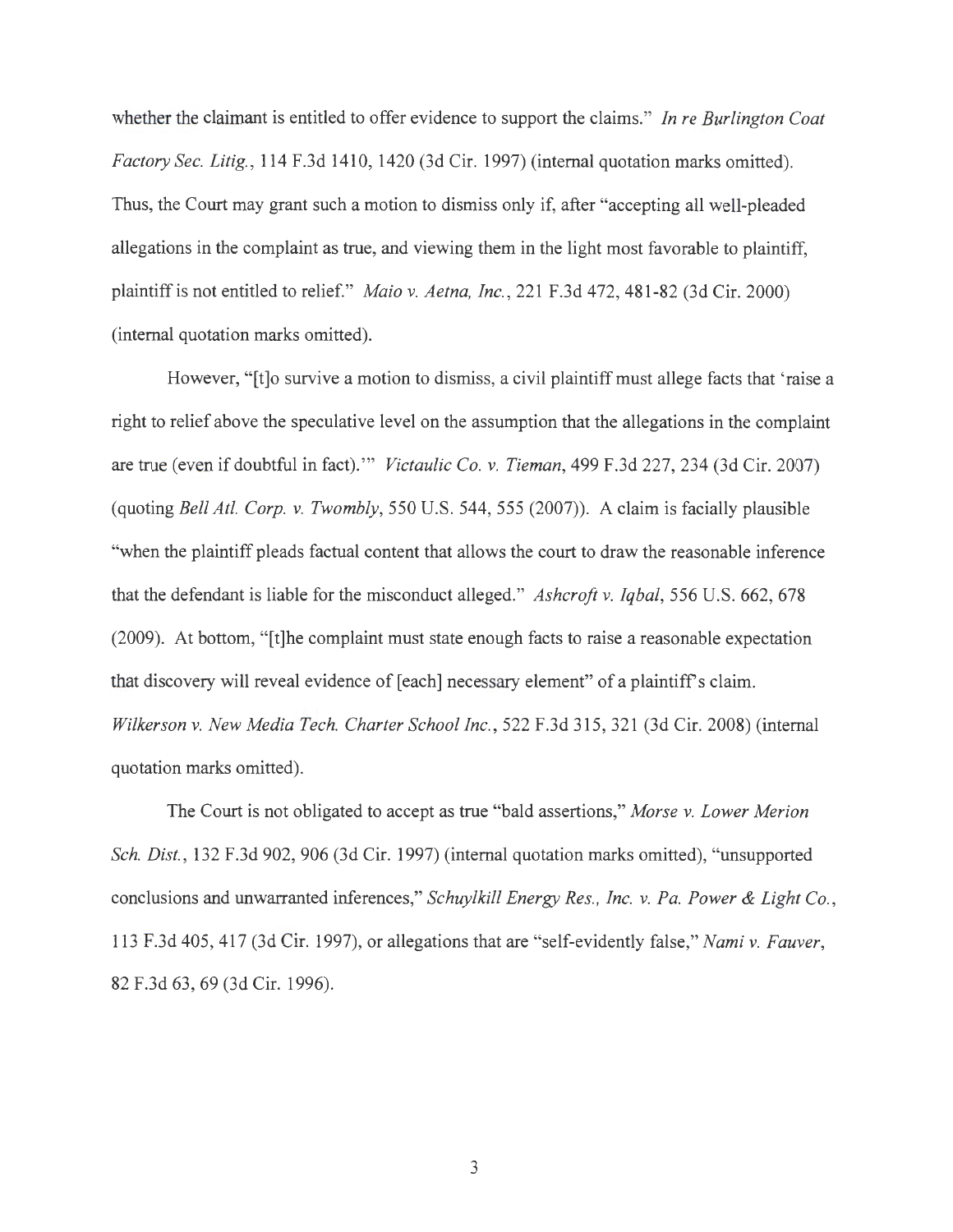whether the claimant is entitled to offer evidence to support the claims." *In re Burlington Coat Factory Sec. Litig. ,* 114 F.3d 1410, 1420 (3d Cir. 1997) (internal quotation marks omitted). Thus, the Court may grant such a motion to dismiss only if, after "accepting all well-pleaded allegations in the complaint as true, and viewing them in the light most favorable to plaintiff, plaintiff is not entitled to relief." *Maio v. Aetna, Inc.,* 221 F.3d 472, 481-82 (3d Cir. 2000) (internal quotation marks omitted).

However, "[t]o survive a motion to dismiss, a civil plaintiff must allege facts that 'raise a right to relief above the speculative level on the assumption that the allegations in the complaint are true (even if doubtful in fact)."' *Victaulic Co. v. Tieman,* 499 F.3d 227,234 (3d Cir. 2007) (quoting *Bell At!. Corp. v. Twombly,* 550 U.S. 544, 555 (2007)). A claim is facially plausible "when the plaintiff pleads factual content that allows the court to draw the reasonable inference that the defendant is liable for the misconduct alleged." *Ashcroft v. Iqbal,* 556 U.S. 662, 678 (2009). At bottom, "[t]he complaint must state enough facts to raise a reasonable expectation that discovery will reveal evidence of [each] necessary element" of a plaintiffs claim. *Wilkerson v. New Media Tech. Charter School Inc.,* 522 F.3d 315, 321 (3d Cir. 2008) (internal quotation marks omitted).

The Court is not obligated to accept as true "bald assertions," *Morse v. Lower Merion Sch. Dist.,* 132 F.3d 902, 906 (3d Cir. 1997) (internal quotation marks omitted), "unsupported conclusions and unwarranted inferences," *Schuylkill Energy Res., Inc. v. Pa. Power & Light Co.,*  113 F.3d 405, 417 (3d Cir. 1997), or allegations that are "self-evidently false," *Nami v. Fauver,*  82 F.3d 63, 69 (3d Cir. 1996).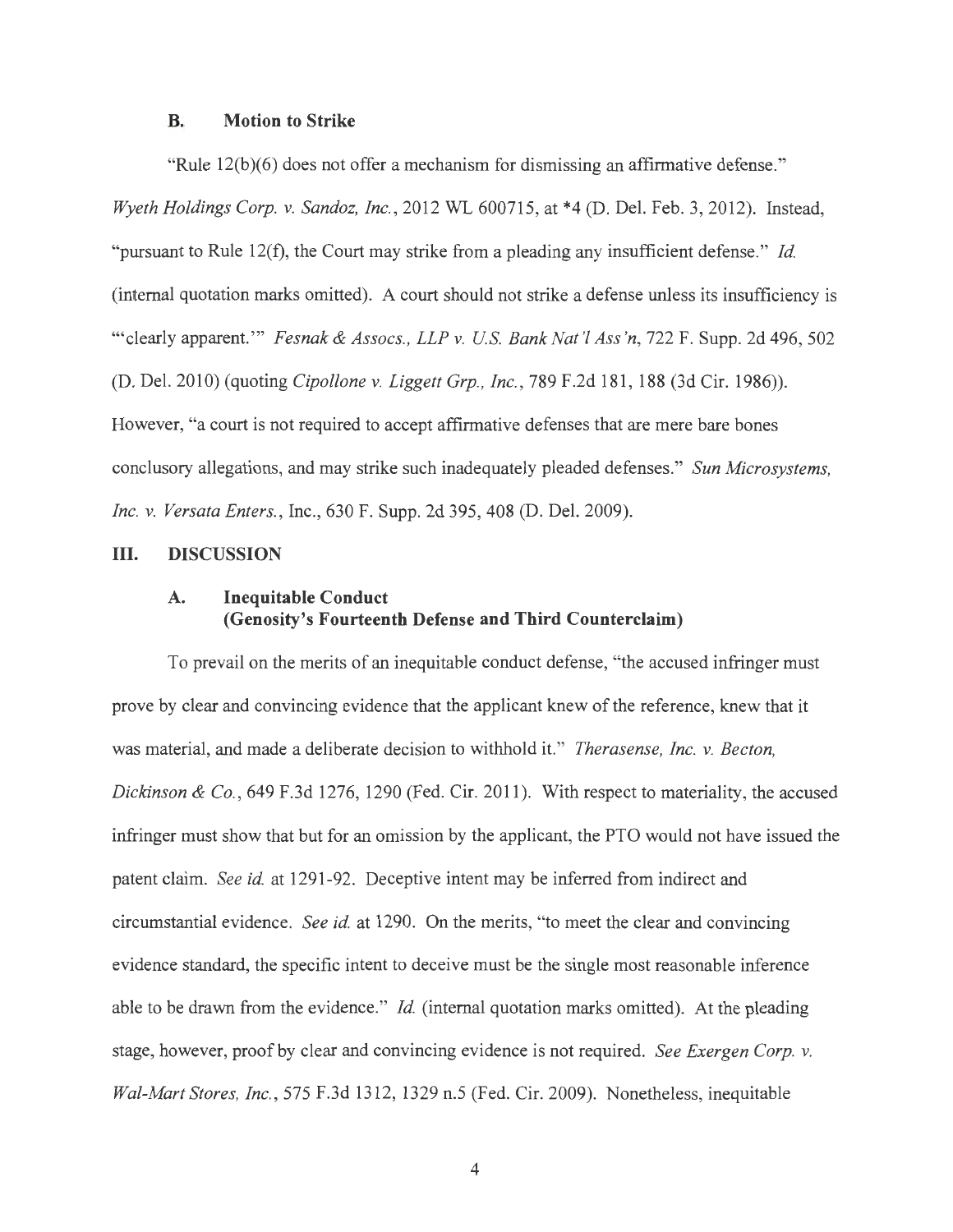#### **B. Motion to Strike**

"Rule 12(b)(6) does not offer a mechanism for dismissing an affirmative defense." *Wyeth Holdings Corp. v. Sandoz, Inc.,* 2012 WL 600715, at \*4 (D. Del. Feb. 3, 2012). Instead, "pursuant to Rule 12(f), the Court may strike from a pleading any insufficient defense." *Id.*  (internal quotation marks omitted). A court should not strike a defense unless its insufficiency is ""clearly apparent." *Fesnak & Assocs., LLP v. U.S. Bank Nat'l Ass'n,* 722 F. Supp. 2d 496, 502 (D. Del. 2010) (quoting *Cipollone v. Liggett Grp., Inc.,* 789 F.2d 181, 188 (3d Cir. 1986)). However, "a court is not required to accept affirmative defenses that are mere bare bones conclusory allegations, and may strike such inadequately pleaded defenses." *Sun Microsystems, Inc. v. Versata Enters.,* Inc., 630 F. Supp. 2d 395, 408 (D. Del. 2009).

#### **III. DISCUSSION**

### **A. Inequitable Conduct (Genosity's Fourteenth Defense and Third Counterclaim)**

To prevail on the merits of an inequitable conduct defense, "the accused infringer must prove by clear and convincing evidence that the applicant knew of the reference, knew that it was material, and made a deliberate decision to withhold it." *Therasense, Inc. v. Becton, Dickinson & Co.,* 649 F.3d 1276, 1290 (Fed. Cir. 2011). With respect to materiality, the accused infringer must show that but for an omission by the applicant, the PTO would not have issued the patent claim. *See id.* at 1291-92. Deceptive intent may be inferred from indirect and circumstantial evidence. *See id.* at 1290. On the merits, "to meet the clear and convincing evidence standard, the specific intent to deceive must be the single most reasonable inference able to be drawn from the evidence." *Id.* (internal quotation marks omitted). At the pleading stage, however, proof by clear and convincing evidence is not required. *See Exergen Corp. v. Wal-Mart Stores, Inc.,* 575 F.3d 1312, 1329 n.5 (Fed. Cir. 2009). Nonetheless, inequitable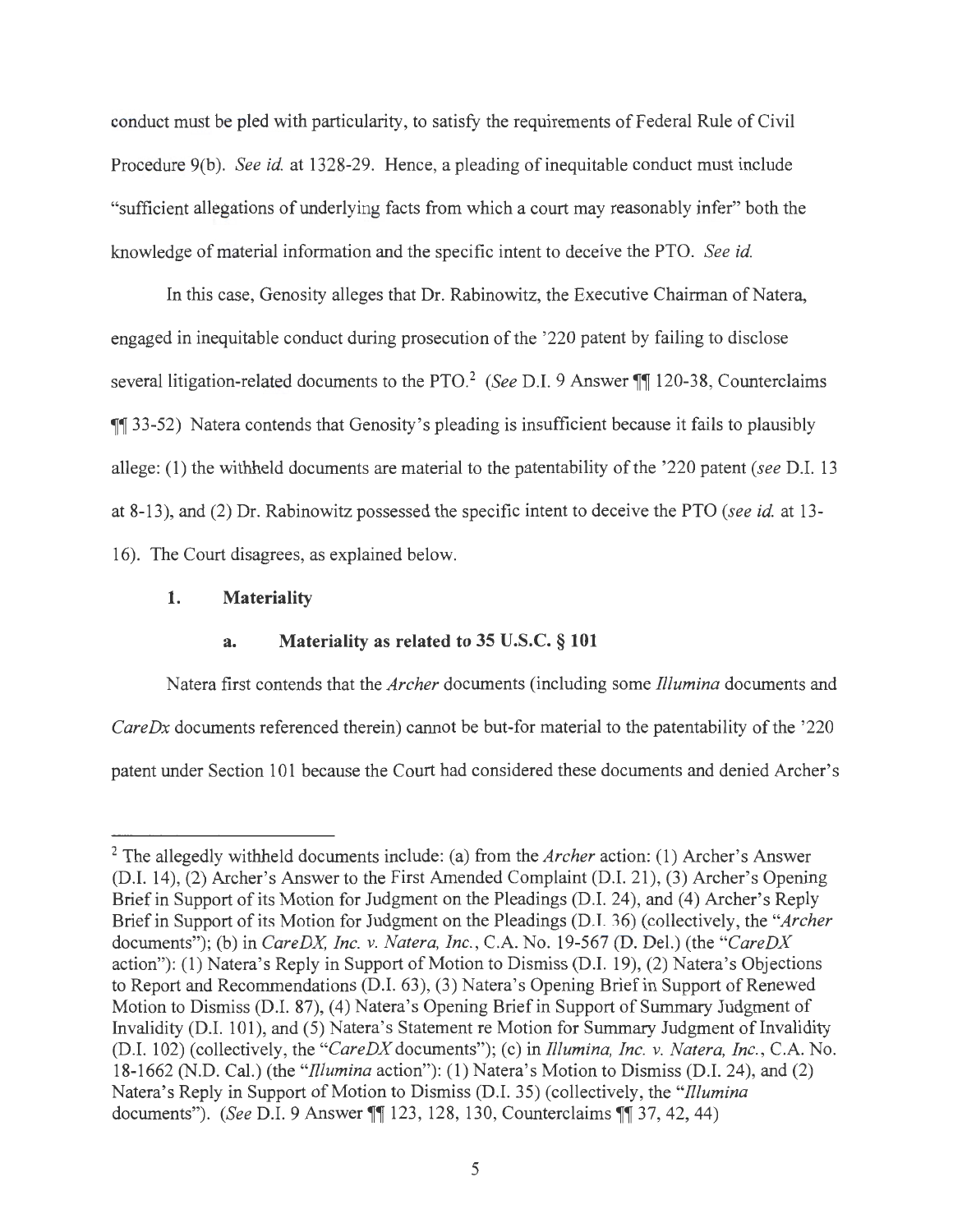conduct must be pled with particularity, to satisfy the requirements of Federal Rule of Civil Procedure 9(b). *See id.* at 1328-29. Hence, a pleading of inequitable conduct must include "sufficient allegations of underlying facts from which a court may reasonably infer" both the knowledge of material information and the specific intent to deceive the PTO. *See id.* 

In this case, Genosity alleges that Dr. Rabinowitz, the Executive Chairman of Natera, engaged in inequitable conduct during prosecution of the '220 patent by failing to disclose several litigation-related documents to the PTO.<sup>2</sup> *(See D.I. 9 Answer* **,.** 120-38, Counterclaims **11** 33-52) Natera contends that Genosity's pleading is insufficient because it fails to plausibly allege: (1) the withheld documents are material to the patentability of the '220 patent *(see* D.I. 13 at 8-13), and (2) Dr. Rabinowitz possessed the specific intent to deceive the PTO *(see id.* at 13- 16). The Court disagrees, as explained below.

#### **1. Materiality**

#### **a. Materiality as related to 35 U.S.C.** § **101**

Natera first contends that the *Archer* documents (including some *lllumina* documents and *CareDx* documents referenced therein) cannot be but-for material to the patentability of the '220 patent under Section 101 because the Court had considered these documents and denied Archer's

<sup>2</sup> The allegedly withheld documents include: (a) from the *Archer* action: (1) Archer's Answer (D.I. 14), (2) Archer's Answer to the First Amended Complaint (D.I. 21), (3) Archer's Opening Brief in Support of its Motion for Judgment on the Pleadings (D.I. 24), and (4) Archer's Reply Brief in Support of its Motion for Judgment on the Pleadings (D.I. 36) (collectively, the *"Archer*  documents"); (b) in *CareDX, Inc. v. Natera, Inc.,* C.A. No. 19-567 (D. Del.) (the *"CareDX*  action"): (1) Natera's Reply in Support of Motion to Dismiss (D.I. 19), (2) Natera's Objections to Report and Recommendations (D.I. 63), (3) Natera's Opening Brief in Support of Renewed Motion to Dismiss (D.1. 87), (4) Natera's Opening Brief in Support of Summary Judgment of Invalidity (D.I. 101), and (5) Natera's Statement re Motion for Summary Judgment of Invalidity (D.1. 102) (collectively, the *"CareDX* documents"); (c) in *lllumina, Inc. v. Natera, Inc.,* C.A. No. 18-1662 (N.D. Cal.) (the *"lllumina* action"): (1) Natera's Motion to Dismiss (D.I. 24), and (2) Natera's Reply in Support of Motion to Dismiss (D.1. 35) (collectively, the *"fllumina*  documents"). *(See* D.I. 9 Answer **,r,r** 123, 128, 130, Counterclaims **,r,r** 37, 42, 44)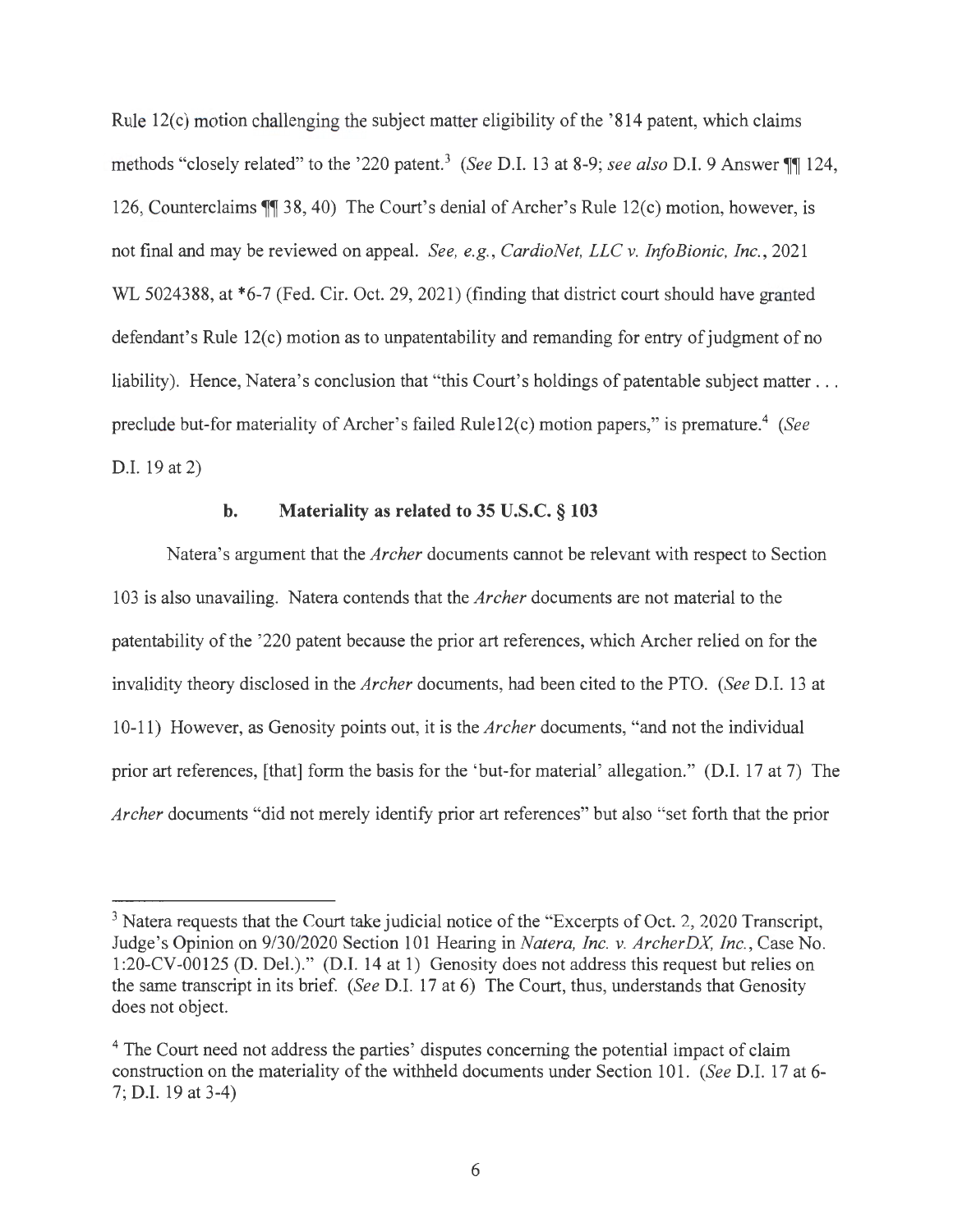Rule  $12(c)$  motion challenging the subject matter eligibility of the '814 patent, which claims methods "closely related" to the '220 patent.<sup>3</sup> (See D.I. 13 at 8-9; *see also* D.I. 9 Answer **11** 124, 126, Counterclaims **11** 38, 40) The Court's denial of Archer's Rule 12(c) motion, however, is not final and may be reviewed on appeal. *See, e.g., CardioNet, LLC v. InfoBionic, Inc. ,* 2021 WL 5024388, at \*6-7 (Fed. Cir. Oct. 29, 2021) (finding that district court should have granted defendant's Rule  $12(c)$  motion as to unpatentability and remanding for entry of judgment of no liability). Hence, Natera's conclusion that "this Court's holdings of patentable subject matter . . . preclude but-for materiality of Archer's failed Rule12(c) motion papers," is premature.<sup>4</sup> (See D.I. 19 at 2)

#### **b. Materiality as related to 35 U.S.C.** § **103**

Natera's argument that the *Archer* documents cannot be relevant with respect to Section 103 is also unavailing. Natera contends that the *Archer* documents are not material to the patentability of the '220 patent because the prior art references, which Archer relied on for the invalidity theory disclosed in the *Archer* documents, had been cited to the PTO. *(See* D.I. 13 at 10-11) However, as Genosity points out, it is the *Archer* documents, "and not the individual prior art references, [that] form the basis for the 'but-for material' allegation." (D.I. 17 at 7) The *Archer* documents "did not merely identify prior art references" but also "set forth that the prior

<sup>&</sup>lt;sup>3</sup> Natera requests that the Court take judicial notice of the "Excerpts of Oct. 2, 2020 Transcript, Judge's Opinion on 9/30/2020 Section 101 Hearing in *Natera, Inc. v. ArcherDX Inc.,* Case No. 1:20-CV-00125 (D. Del.)." (D.I. 14 at 1) Genosity does not address this request but relies on the same transcript in its brief. *(See* D.I. 17 at 6) The Court, thus, understands that Genosity does not object.

<sup>&</sup>lt;sup>4</sup> The Court need not address the parties' disputes concerning the potential impact of claim construction on the materiality of the withheld documents under Section 101. *(See* D.I. 17 at 6- 7; D.I. 19 at 3-4)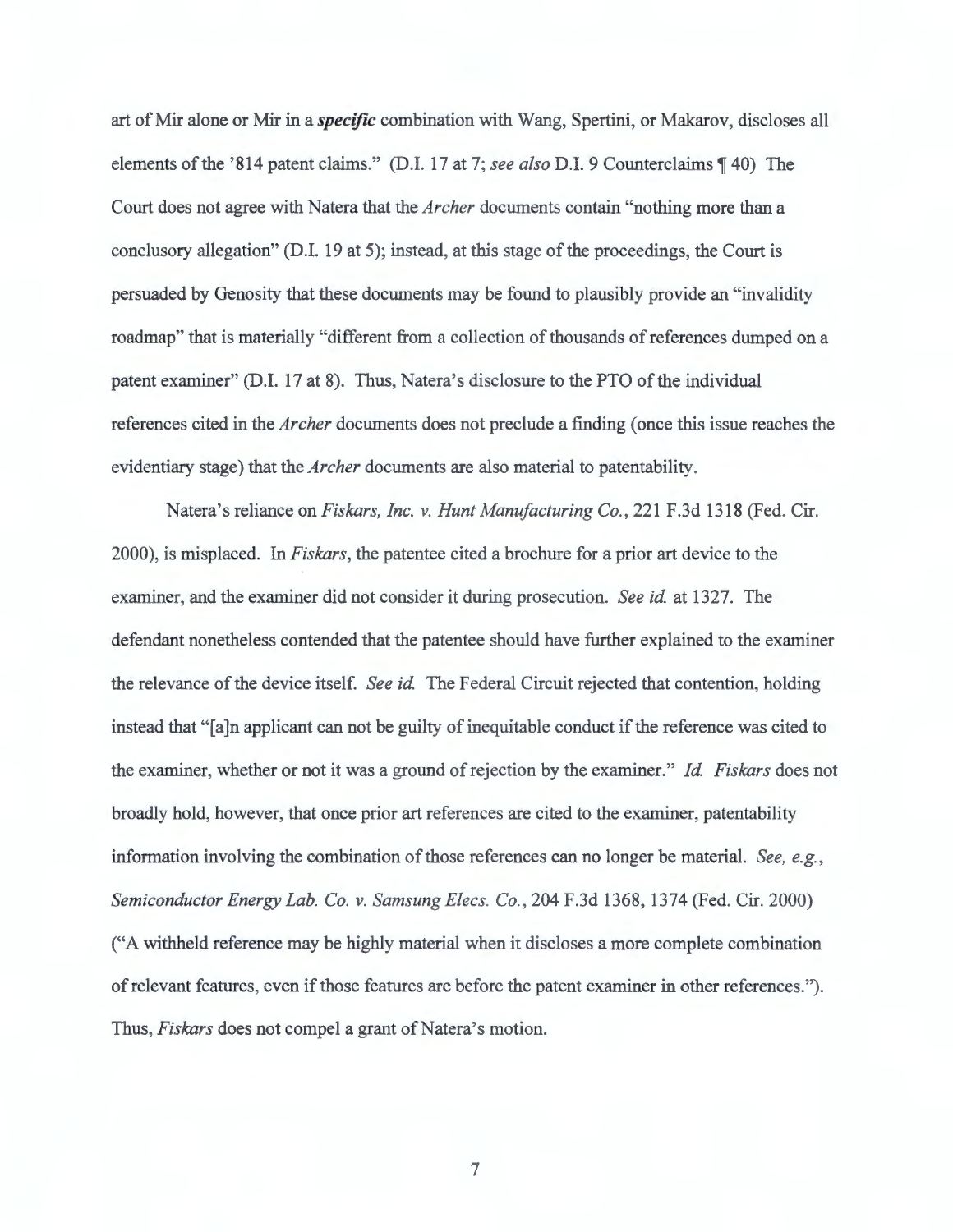art of Mir alone or Mir in a *specific* combination with Wang, Spertini, or Makarov, discloses all elements of the '814 patent claims." (D.I. 17 at 7; see also D.I. 9 Counterclaims \[40) The Court does not agree with Natera that the *Archer* documents contain "nothing more than a conclusory allegation" (D.I. 19 at 5); instead, at this stage of the proceedings, the Court is persuaded by Genosity that these documents may be found to plausibly provide an "invalidity roadmap" that is materially "different from a collection of thousands of references dumped on a patent examiner" (D.I. 17 at 8). Thus, Natera's disclosure to the PTO of the individual references cited in the *Archer* documents does not preclude a finding ( once this issue reaches the evidentiary stage) that the *Archer* documents are also material to patentability.

Natera's reliance on *Fiskars, Inc. v. Hunt Manufacturing Co.,* 221 F.3d 1318 (Fed. Cir. 2000), is misplaced. In *Fiskars,* the patentee cited a brochure for a prior art device to the examiner, and the examiner did not consider it during prosecution. *See id.* at 1327. The defendant nonetheless contended that the patentee should have further explained to the examiner the relevance of the device itself. *See id.* The Federal Circuit rejected that contention, holding instead that "[a]n applicant can not be guilty of inequitable conduct if the reference was cited to the examiner, whether or not it was a ground of rejection by the examiner." *Id. Fiskars* does not broadly hold, however, that once prior art references are cited to the examiner, patentability information involving the combination of those references can no longer be material. *See, e.g. , Semiconductor Energy Lab. Co. v. Samsung Elecs. Co.,* 204 F.3d 1368, 1374 (Fed. Cir. 2000) ("A withheld reference may be highly material when it discloses a more complete combination ofrelevant features, even if those features are before the patent examiner in other references."). Thus, *Fiskars* does not compel a grant of Natera's motion.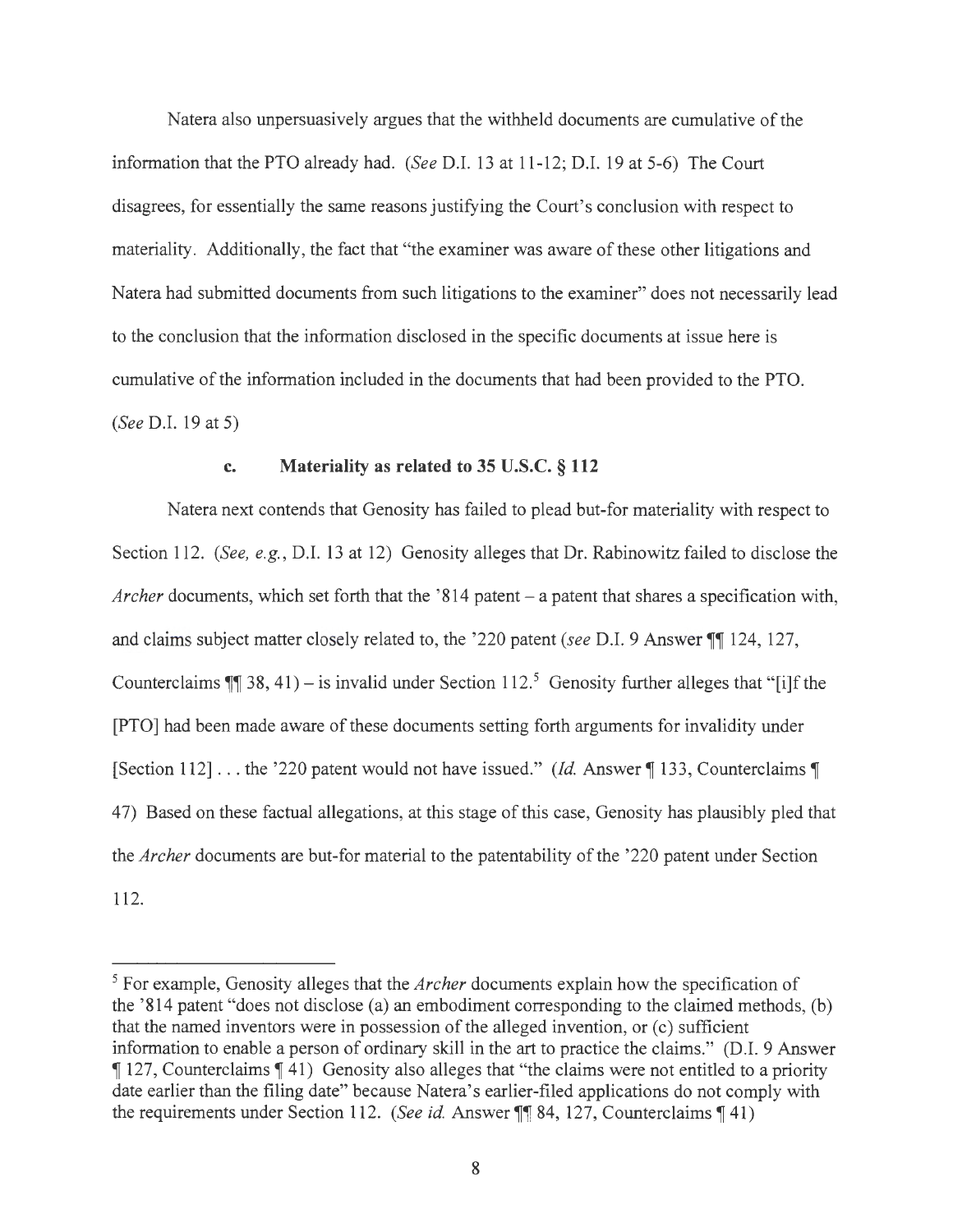Natera also unpersuasively argues that the withheld documents are cumulative of the information that the PTO already had. *(See* D.I. 13 at 11-12; D.I. 19 at 5-6) The Court disagrees, for essentially the same reasons justifying the Court's conclusion with respect to materiality. Additionally, the fact that "the examiner was aware of these other litigations and Natera had submitted documents from such litigations to the examiner" does not necessarily lead to the conclusion that the information disclosed in the specific documents at issue here is cumulative of the information included in the documents that had been provided to the PTO. *(See* D.I. 19 at 5)

### **c. Materiality as related to 35 U.S.C.** § **112**

Natera next contends that Genosity has failed to plead but-for materiality with respect to Section 112. *(See, e.g.,* D.I. 13 at 12) Genosity alleges that Dr. Rabinowitz failed to disclose the *Archer* documents, which set forth that the '814 patent – a patent that shares a specification with, and claims subject matter closely related to, the '220 patent *(see D.I. 9 Answer ||| 124, 127,* Counterclaims  $\P$  38, 41) – is invalid under Section 112.<sup>5</sup> Genosity further alleges that "[i]f the [PTO] had been made aware of these documents setting forth arguments for invalidity under [Section 112] ... the '220 patent would not have issued." *(Id. Answer* 133, Counterclaims 1) 4 7) Based on these factual allegations, at this stage of this case, Genosity has plausibly pied that the *Archer* documents are but-for material to the patentability of the '220 patent under Section 112.

<sup>5</sup> For example, Genosity alleges that the *Archer* documents explain how the specification of the '814 patent "does not disclose (a) an embodiment corresponding to the claimed methods, (b) that the named inventors were in possession of the alleged invention, or  $(c)$  sufficient information to enable a person of ordinary skill in the art to practice the claims." (D.I. 9 Answer **127, Counterclaims 141)** Genosity also alleges that "the claims were not entitled to a priority date earlier than the filing date" because Natera's earlier-filed applications do not comply with the requirements under Section 112. *(See id. Answer* **11** 84, 127, Counterclaims 141)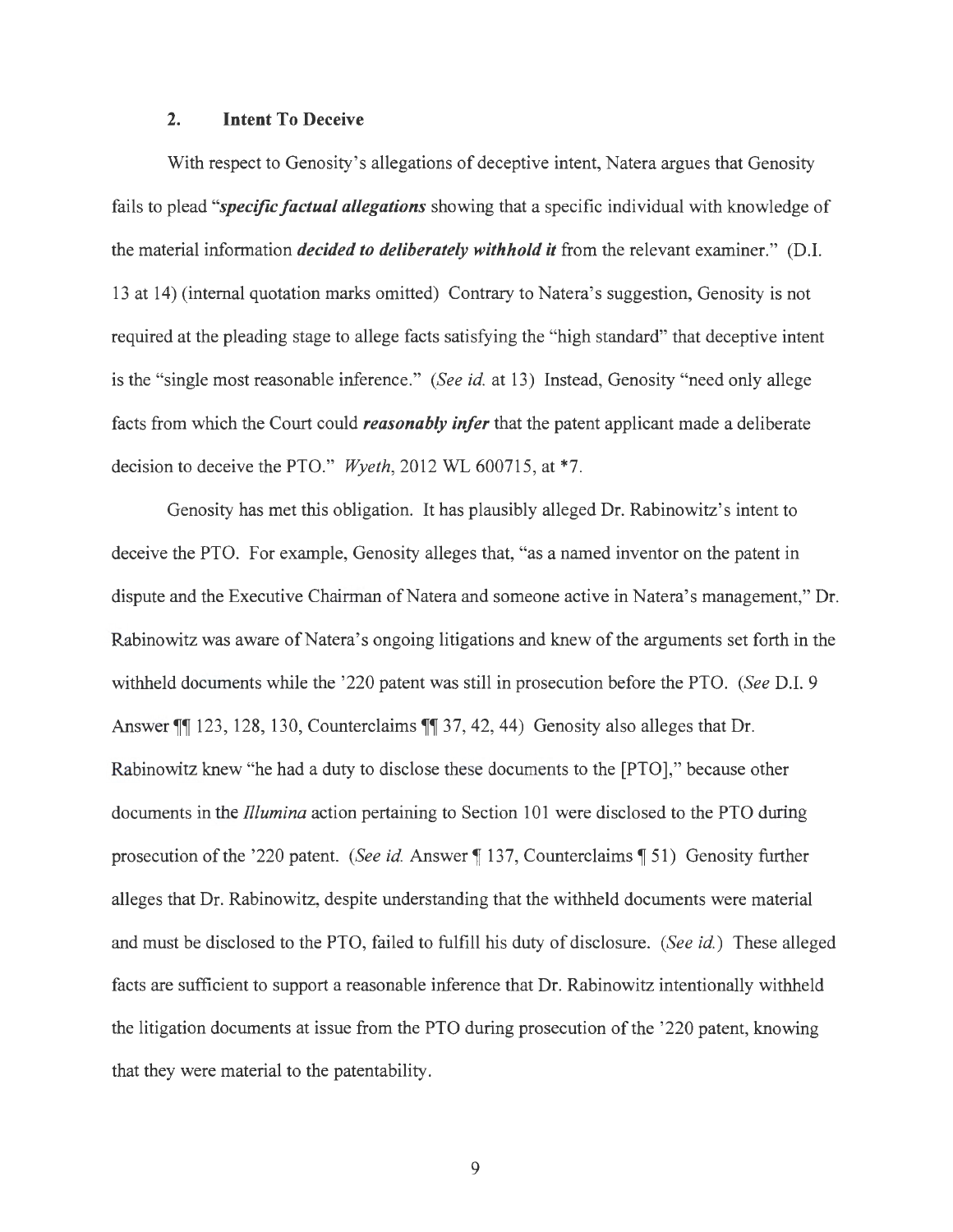### **2. Intent To Deceive**

With respect to Genosity's allegations of deceptive intent, Natera argues that Genosity fails to plead *"specific factual allegations* showing that a specific individual with knowledge of the material information *decided to deliberately withhold it* from the relevant examiner." (D.I. 13 at 14) (internal quotation marks omitted) Contrary to Natera's suggestion, Genosity is not required at the pleading stage to allege facts satisfying the "high standard" that deceptive intent is the "single most reasonable inference." *(See id.* at 13) Instead, Genosity "need only allege facts from which the Court could *reasonably infer* that the patent applicant made a deliberate decision to deceive the PTO." Wyeth, 2012 WL 600715, at \*7.

Genosity has met this obligation. It has plausibly alleged Dr. Rabinowitz's intent to deceive the PTO. For example, Genosity alleges that, "as a named inventor on the patent in dispute and the Executive Chairman of Natera and someone active in Natera's management," Dr. Rabinowitz was aware of Natera's ongoing litigations and knew of the arguments set forth in the withheld documents while the '220 patent was still in prosecution before the PTO. *(See* D.I. 9 Answer **||** 123, 128, 130, Counterclaims **||** 37, 42, 44) Genosity also alleges that Dr. Rabinowitz knew "he had a duty to disclose these documents to the [PTO]," because other documents in the *fllumina* action pertaining to Section 101 were disclosed to the PTO during prosecution of the '220 patent. *(See id. Answer* 137, Counterclaims 151) Genosity further alleges that Dr. Rabinowitz, despite understanding that the withheld documents were material and must be disclosed to the PTO, failed to fulfill his duty of disclosure. *(See id.)* These alleged facts are sufficient to support a reasonable inference that Dr. Rabinowitz intentionally withheld the litigation documents at issue from the PTO during prosecution of the '220 patent, knowing that they were material to the patentability.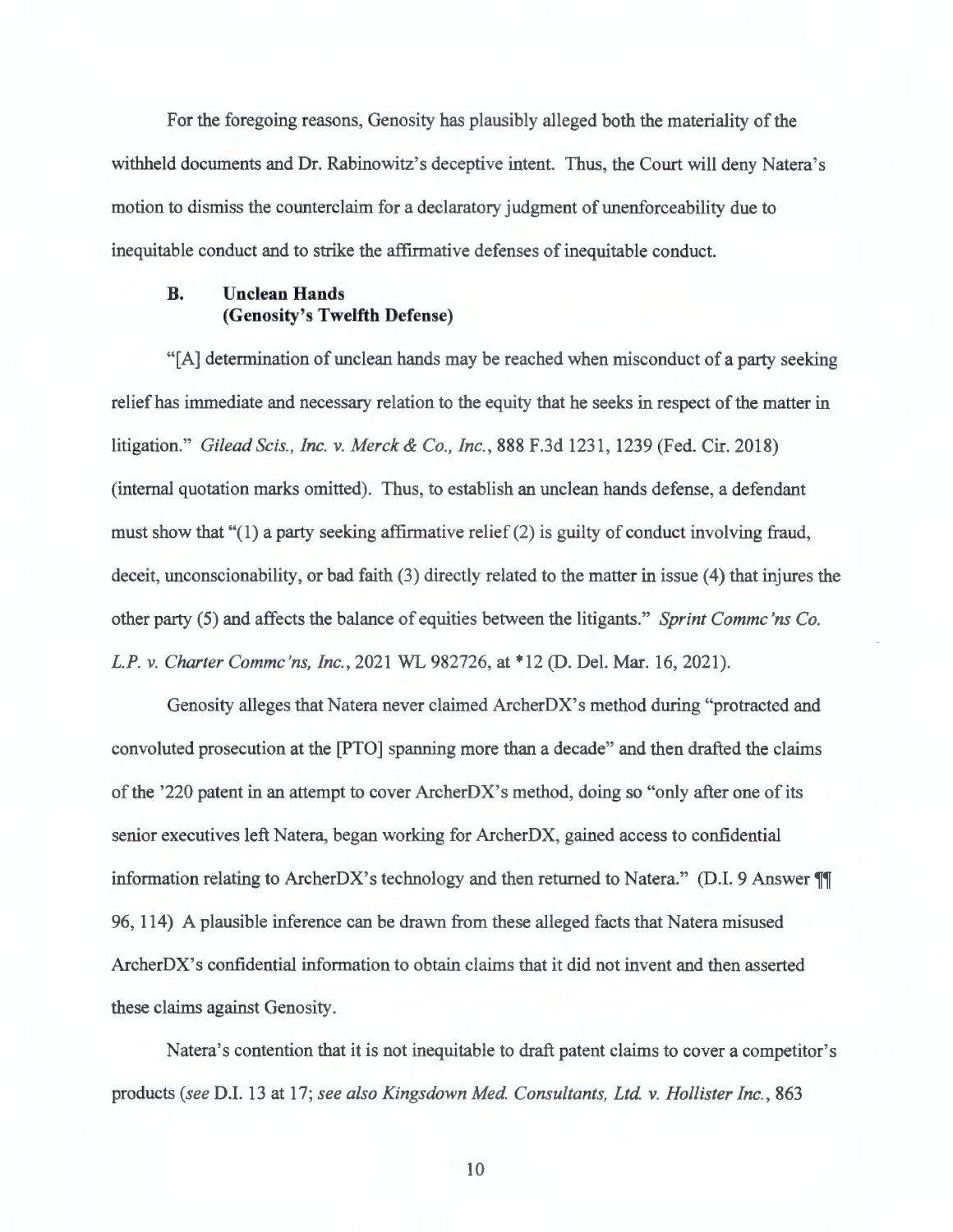For the foregoing reasons, Genosity has plausibly alleged both the materiality of the withheld documents and Dr. Rabinowitz's deceptive intent. Thus, the Court will deny Natera's motion to dismiss the counterclaim for a declaratory judgment of unenforceability due to inequitable conduct and to strike the affirmative defenses of inequitable conduct.

### **B. Unclean Hands (Genosity's Twelfth Defense)**

"[A] determination of unclean hands may be reached when misconduct of a party seeking relief has immediate and necessary relation to the equity that he seeks in respect of the matter in litigation." *Gilead Scis., Inc. v. Merck & Co., Inc.*, 888 F.3d 1231, 1239 (Fed. Cir. 2018) (internal quotation marks omitted). Thus, to establish an unclean hands defense, a defendant must show that "(1) a party seeking affirmative relief (2) is guilty of conduct involving fraud, deceit, unconscionability, or bad faith (3) directly related to the matter in issue (4) that injures the other party (5) and affects the balance of equities between the litigants." *Sprint Commc 'ns Co. L.P. v. Charter Commc 'ns, Inc.,* 2021 WL 982726, at \*12 (D. Del. Mar. 16, 2021).

Genosity alleges that Natera never claimed ArcherDX's method during "protracted and convoluted prosecution at the [PTO] spanning more than a decade" and then drafted the claims of the '220 patent in an attempt to cover ArcherDX's method, doing so "only after one of its senior executives left Natera, began working for ArcherDX, gained access to confidential information relating to ArcherDX's technology and then returned to Natera." (D.I. 9 Answer **TI** 96, 114) A plausible inference can be drawn from these alleged facts that Natera misused ArcherDX's confidential information to obtain claims that it did not invent and then asserted these claims against Genosity.

Natera's contention that it is not inequitable to draft patent claims to cover a competitor's products *(see* D.I. 13 at 17; *see also Kingsdown Med. Consultants, Ltd. v. Hollister Inc. ,* 863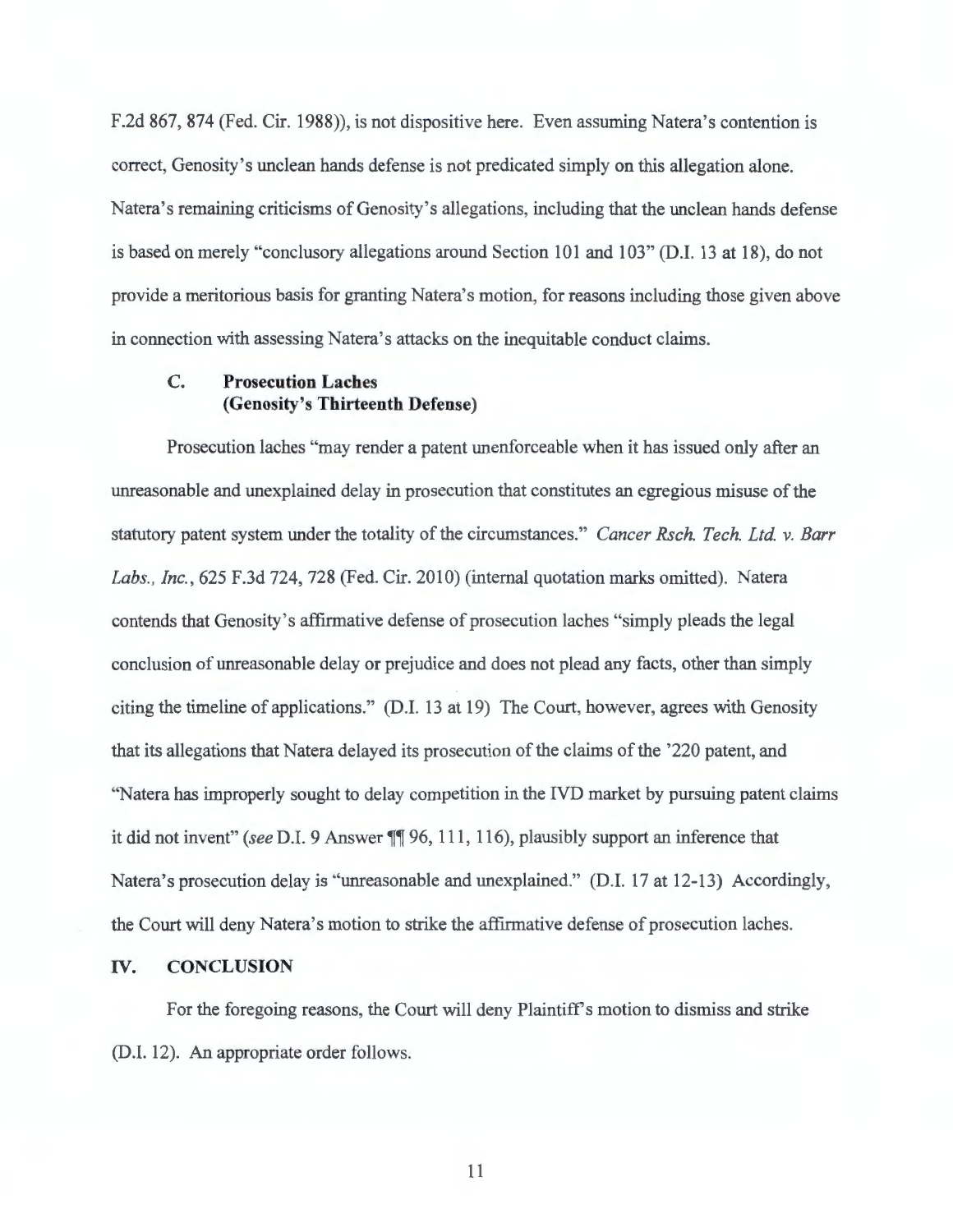F.2d 867, 874 (Fed. Cir. 1988)), is not dispositive here. Even assuming Natera's contention is correct, Genosity's unclean hands defense is not predicated simply on this allegation alone. Natera's remaining criticisms of Genosity's allegations, including that the unclean hands defense is based on merely "conclusory allegations around Section  $101$  and  $103$ " (D.I. 13 at 18), do not provide a meritorious basis for granting Natera's motion, for reasons including those given above in connection with assessing Natera's attacks on the inequitable conduct claims.

### **C. Prosecution Laches (Genosity's Thirteenth Defense)**

Prosecution laches "may render a patent unenforceable when it has issued only after an unreasonable and unexplained delay in prosecution that constitutes an egregious misuse of the statutory patent system under the totality of the circumstances." *Cancer Rsch. Tech. Ltd. v. Barr Labs., Inc.,* 625 F.3d 724, 728 (Fed. Cir. 2010) (internal quotation marks omitted). Natera contends that Genosity's affirmative defense of prosecution !aches "simply pleads the legal conclusion of unreasonable delay or prejudice and does not plead any facts, other than simply citing the timeline of applications." (D.I. 13 at 19) The Court, however, agrees with Genosity that its allegations that Natera delayed its prosecution of the claims of the '220 patent, and "Natera has improperly sought to delay competition in the IVD market by pursuing patent claims it did not invent" *(see D.I. 9 Answer* **11** 96, 111, 116), plausibly support an inference that Natera's prosecution delay is "unreasonable and unexplained." (D.I. 17 at 12-13) Accordingly, the Court will deny Natera's motion to strike the affirmative defense of prosecution laches.

### **IV. CONCLUSION**

For the foregoing reasons, the Court will deny Plaintiff's motion to dismiss and strike (D.I. 12). An appropriate order follows.